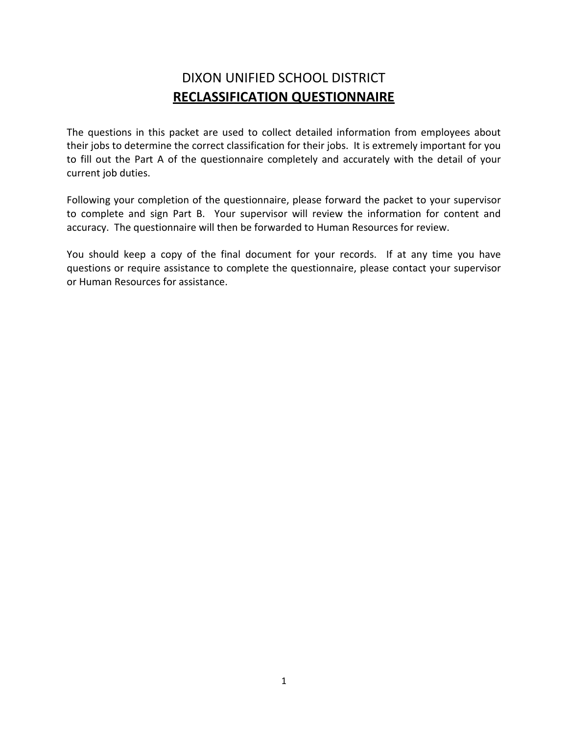## DIXON UNIFIED SCHOOL DISTRICT **RECLASSIFICATION QUESTIONNAIRE**

The questions in this packet are used to collect detailed information from employees about their jobs to determine the correct classification for their jobs. It is extremely important for you to fill out the Part A of the questionnaire completely and accurately with the detail of your current job duties.

Following your completion of the questionnaire, please forward the packet to your supervisor to complete and sign Part B. Your supervisor will review the information for content and accuracy. The questionnaire will then be forwarded to Human Resources for review.

You should keep a copy of the final document for your records. If at any time you have questions or require assistance to complete the questionnaire, please contact your supervisor or Human Resources for assistance.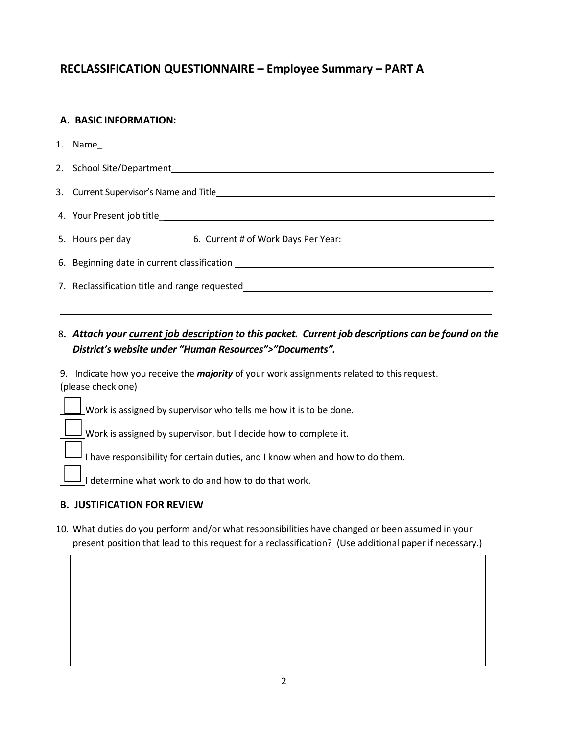### **RECLASSIFICATION QUESTIONNAIRE – Employee Summary – PART A**

#### **A. BASIC INFORMATION:**

8**.** *Attach your current job description to this packet. Current job descriptions can be found on the District's website under "Human Resources">"Documents".*

9. Indicate how you receive the *majority* of your work assignments related to this request. (please check one)

Work is assigned by supervisor who tells me how it is to be done.

 $\frac{1}{2}$  Work is assigned by supervisor, but I decide how to complete it.

I have responsibility for certain duties, and I know when and how to do them.

I determine what work to do and how to do that work.

#### **B. JUSTIFICATION FOR REVIEW**

10. What duties do you perform and/or what responsibilities have changed or been assumed in your present position that lead to this request for a reclassification? (Use additional paper if necessary.)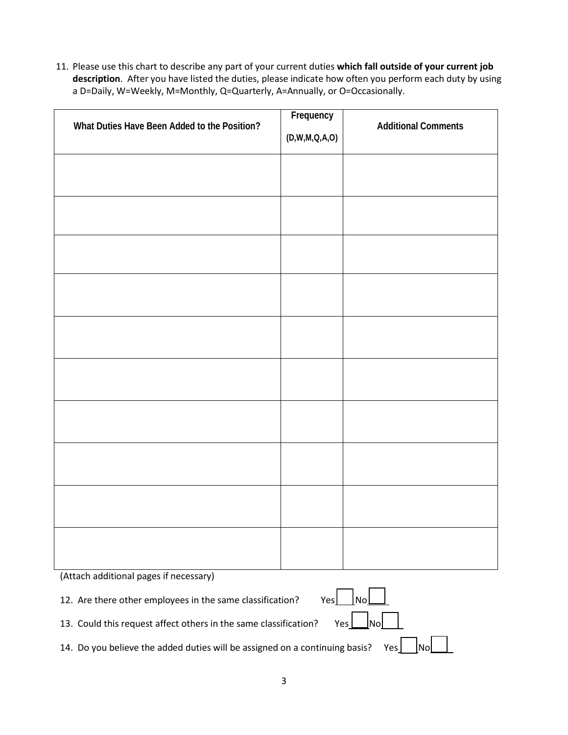11. Please use this chart to describe any part of your current duties **which fall outside of your current job description**. After you have listed the duties, please indicate how often you perform each duty by using a D=Daily, W=Weekly, M=Monthly, Q=Quarterly, A=Annually, or O=Occasionally.

| What Duties Have Been Added to the Position? | Frequency                                                             | <b>Additional Comments</b> |
|----------------------------------------------|-----------------------------------------------------------------------|----------------------------|
|                                              | $(\mathsf{D},\mathsf{W},\mathsf{M},\mathsf{Q},\mathsf{A},\mathsf{O})$ |                            |
|                                              |                                                                       |                            |
|                                              |                                                                       |                            |
|                                              |                                                                       |                            |
|                                              |                                                                       |                            |
|                                              |                                                                       |                            |
|                                              |                                                                       |                            |
|                                              |                                                                       |                            |
|                                              |                                                                       |                            |
|                                              |                                                                       |                            |
|                                              |                                                                       |                            |
|                                              |                                                                       |                            |
|                                              |                                                                       |                            |
|                                              |                                                                       |                            |
|                                              |                                                                       |                            |
|                                              |                                                                       |                            |
|                                              |                                                                       |                            |
|                                              |                                                                       |                            |
|                                              |                                                                       |                            |
|                                              |                                                                       |                            |

(Attach additional pages if necessary)

12. Are there other employees in the same classification?

| ⊷ | NO. |  |
|---|-----|--|
|   |     |  |

13. Could this request affect others in the same classification? Yes  $\Box$  No

14. Do you believe the added duties will be assigned on a continuing basis? Yes  $\lfloor$  No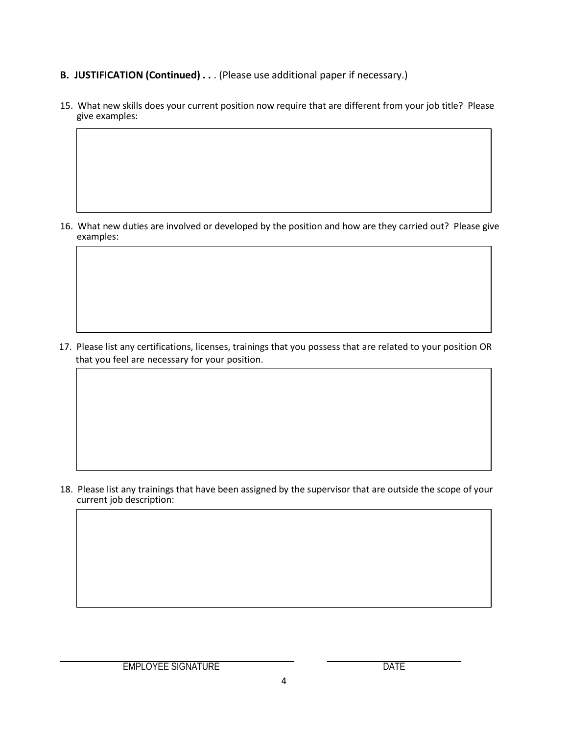- **B. JUSTIFICATION (Continued) . .** . (Please use additional paper if necessary.)
- 15. What new skills does your current position now require that are different from your job title? Please give examples:

16. What new duties are involved or developed by the position and how are they carried out? Please give examples:

17. Please list any certifications, licenses, trainings that you possess that are related to your position OR that you feel are necessary for your position.

18. Please list any trainings that have been assigned by the supervisor that are outside the scope of your current job description: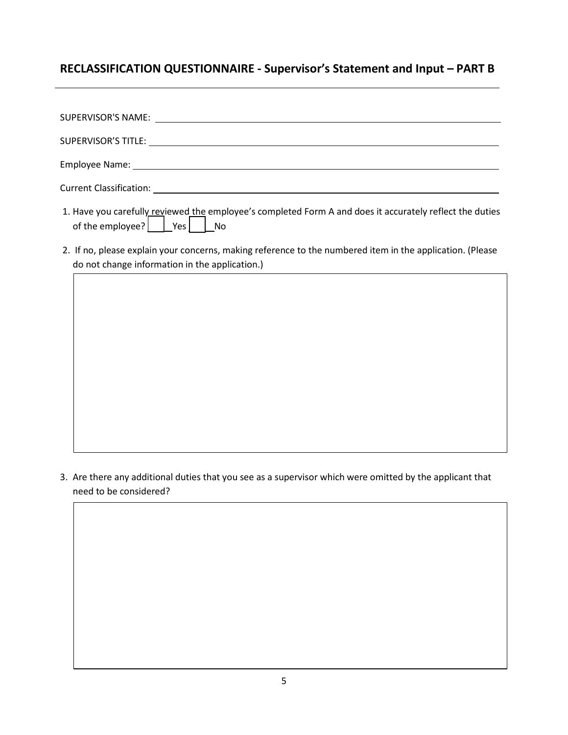## **RECLASSIFICATION QUESTIONNAIRE - Supervisor's Statement and Input – PART B**

- 1. Have you carefully reviewed the employee's completed Form A and does it accurately reflect the duties of the employee?  $\vert$   $\vert$  Yes  $\vert$  No
- 2. If no, please explain your concerns, making reference to the numbered item in the application. (Please do not change information in the application.)

3. Are there any additional duties that you see as a supervisor which were omitted by the applicant that need to be considered?